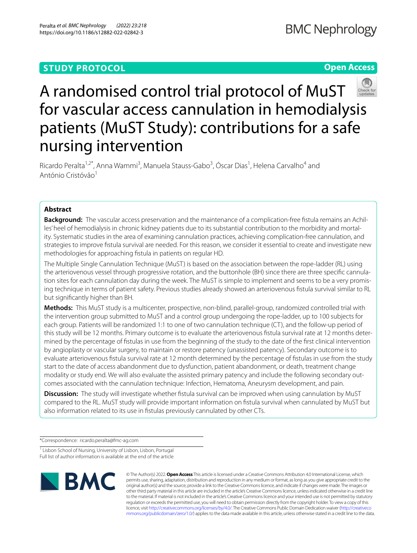# **STUDY PROTOCOL**

# **Open Access**



# A randomised control trial protocol of MuST for vascular access cannulation in hemodialysis patients (MuST Study): contributions for a safe nursing intervention

Ricardo Peralta<sup>1,2\*</sup>, Anna Wammi<sup>3</sup>, Manuela Stauss-Gabo<sup>3</sup>, Óscar Dias<sup>1</sup>, Helena Carvalho<sup>4</sup> and António Cristóvão<sup>1</sup>

# **Abstract**

**Background:** The vascular access preservation and the maintenance of a complication-free fistula remains an Achilles' heel of hemodialysis in chronic kidney patients due to its substantial contribution to the morbidity and mortality. Systematic studies in the area of examining cannulation practices, achieving complication-free cannulation, and strategies to improve fstula survival are needed. For this reason, we consider it essential to create and investigate new methodologies for approaching fstula in patients on regular HD.

The Multiple Single Cannulation Technique (MuST) is based on the association between the rope-ladder (RL) using the arteriovenous vessel through progressive rotation, and the buttonhole (BH) since there are three specific cannulation sites for each cannulation day during the week. The MuST is simple to implement and seems to be a very promising technique in terms of patient safety. Previous studies already showed an arteriovenous fstula survival similar to RL but signifcantly higher than BH.

**Methods:** This MuST study is a multicenter, prospective, non-blind, parallel-group, randomized controlled trial with the intervention group submitted to MuST and a control group undergoing the rope-ladder, up to 100 subjects for each group. Patients will be randomized 1:1 to one of two cannulation technique (CT), and the follow-up period of this study will be 12 months. Primary outcome is to evaluate the arteriovenous fistula survival rate at 12 months determined by the percentage of fstulas in use from the beginning of the study to the date of the frst clinical intervention by angioplasty or vascular surgery, to maintain or restore patency (unassisted patency). Secondary outcome is to evaluate arteriovenous fstula survival rate at 12 month determined by the percentage of fstulas in use from the study start to the date of access abandonment due to dysfunction, patient abandonment, or death, treatment change modality or study end. We will also evaluate the assisted primary patency and include the following secondary outcomes associated with the cannulation technique: Infection, Hematoma, Aneurysm development, and pain.

**Discussion:** The study will investigate whether fistula survival can be improved when using cannulation by MuST compared to the RL. MuST study will provide important information on fstula survival when cannulated by MuST but also information related to its use in fstulas previously cannulated by other CTs.

\*Correspondence: ricardo.peralta@fmc-ag.com

<sup>1</sup> Lisbon School of Nursing, University of Lisbon, Lisbon, Portugal Full list of author information is available at the end of the article



© The Author(s) 2022. **Open Access** This article is licensed under a Creative Commons Attribution 4.0 International License, which permits use, sharing, adaptation, distribution and reproduction in any medium or format, as long as you give appropriate credit to the original author(s) and the source, provide a link to the Creative Commons licence, and indicate if changes were made. The images or other third party material in this article are included in the article's Creative Commons licence, unless indicated otherwise in a credit line to the material. If material is not included in the article's Creative Commons licence and your intended use is not permitted by statutory regulation or exceeds the permitted use, you will need to obtain permission directly from the copyright holder. To view a copy of this licence, visit [http://creativecommons.org/licenses/by/4.0/.](http://creativecommons.org/licenses/by/4.0/) The Creative Commons Public Domain Dedication waiver ([http://creativeco](http://creativecommons.org/publicdomain/zero/1.0/) [mmons.org/publicdomain/zero/1.0/](http://creativecommons.org/publicdomain/zero/1.0/)) applies to the data made available in this article, unless otherwise stated in a credit line to the data.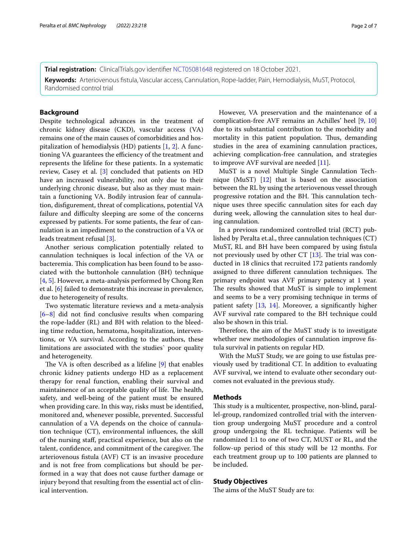**Trial registration:** ClinicalTrials.gov identifer [NCT05081648](https://clinicaltrials.gov/ct2/show/record/NCT05081648) registered on 18 October 2021. **Keywords:** Arteriovenous fstula, Vascular access, Cannulation, Rope-ladder, Pain, Hemodialysis, MuST, Protocol, Randomised control trial

# **Background**

Despite technological advances in the treatment of chronic kidney disease (CKD), vascular access (VA) remains one of the main causes of comorbidities and hospitalization of hemodialysis (HD) patients [[1,](#page-5-0) [2\]](#page-5-1). A functioning VA guarantees the efficiency of the treatment and represents the lifeline for these patients. In a systematic review, Casey et al. [\[3\]](#page-5-2) concluded that patients on HD have an increased vulnerability, not only due to their underlying chronic disease, but also as they must maintain a functioning VA. Bodily intrusion fear of cannulation, disfgurement, threat of complications, potential VA failure and difficulty sleeping are some of the concerns expressed by patients. For some patients, the fear of cannulation is an impediment to the construction of a VA or leads treatment refusal [\[3](#page-5-2)].

Another serious complication potentially related to cannulation techniques is local infection of the VA or bacteremia. This complication has been found to be associated with the buttonhole cannulation (BH) technique [[4,](#page-5-3) [5](#page-5-4)]. However, a meta-analysis performed by Chong Ren et al. [\[6](#page-5-5)] failed to demonstrate this increase in prevalence, due to heterogeneity of results.

Two systematic literature reviews and a meta-analysis [[6–](#page-5-5)[8\]](#page-5-6) did not fnd conclusive results when comparing the rope-ladder (RL) and BH with relation to the bleeding time reduction, hematoma, hospitalization, interventions, or VA survival. According to the authors, these limitations are associated with the studies` poor quality and heterogeneity.

The VA is often described as a lifeline  $[9]$  $[9]$  $[9]$  that enables chronic kidney patients undergo HD as a replacement therapy for renal function, enabling their survival and maintainence of an acceptable quality of life. The health, safety, and well-being of the patient must be ensured when providing care. In this way, risks must be identifed, monitored and, whenever possible, prevented. Successful cannulation of a VA depends on the choice of cannulation technique (CT), environmental infuences, the skill of the nursing staf, practical experience, but also on the talent, confidence, and commitment of the caregiver. The arteriovenous fstula (AVF) CT is an invasive procedure and is not free from complications but should be performed in a way that does not cause further damage or injury beyond that resulting from the essential act of clinical intervention.

However, VA preservation and the maintenance of a complication-free AVF remains an Achilles' heel [[9,](#page-5-7) [10](#page-5-8)] due to its substantial contribution to the morbidity and mortality in this patient population. Thus, demanding studies in the area of examining cannulation practices, achieving complication-free cannulation, and strategies to improve AVF survival are needed [[11\]](#page-6-0).

MuST is a novel Multiple Single Cannulation Technique (MuST) [\[12\]](#page-6-1) that is based on the association between the RL by using the arteriovenous vessel through progressive rotation and the BH. This cannulation technique uses three specifc cannulation sites for each day during week, allowing the cannulation sites to heal during cannulation.

In a previous randomized controlled trial (RCT) published by Peralta et.al., three cannulation techniques (CT) MuST, RL and BH have been compared by using fistula not previously used by other CT  $[13]$  $[13]$  $[13]$ . The trial was conducted in 18 clinics that recruited 172 patients randomly assigned to three different cannulation techniques. The primary endpoint was AVF primary patency at 1 year. The results showed that MuST is simple to implement and seems to be a very promising technique in terms of patient safety [\[13](#page-6-2), [14](#page-6-3)]. Moreover, a signifcantly higher AVF survival rate compared to the BH technique could also be shown in this trial.

Therefore, the aim of the MuST study is to investigate whether new methodologies of cannulation improve fstula survival in patients on regular HD.

With the MuST Study, we are going to use fstulas previously used by traditional CT. In addition to evaluating AVF survival, we intend to evaluate other secondary outcomes not evaluated in the previous study.

#### **Methods**

This study is a multicenter, prospective, non-blind, parallel-group, randomized controlled trial with the intervention group undergoing MuST procedure and a control group undergoing the RL technique. Patients will be randomized 1:1 to one of two CT, MUST or RL, and the follow-up period of this study will be 12 months. For each treatment group up to 100 patients are planned to be included.

# **Study Objectives**

The aims of the MuST Study are to: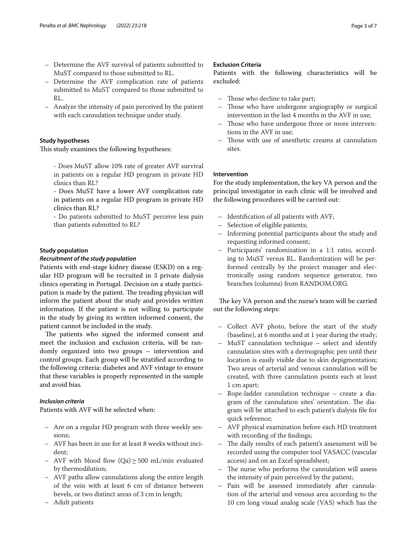- Determine the AVF survival of patients submitted to MuST compared to those submitted to RL.
- Determine the AVF complication rate of patients submitted to MuST compared to those submitted to RL.
- Analyze the intensity of pain perceived by the patient with each cannulation technique under study.

# **Study hypotheses**

This study examines the following hypotheses:

- Does MuST allow 10% rate of greater AVF survival in patients on a regular HD program in private HD clinics than RL?

- Does MuST have a lower AVF complication rate in patients on a regular HD program in private HD clinics than RL?

- Do patients submitted to MuST perceive less pain than patients submitted to RL?

# **Study population**

# *Recruitment of the study population*

Patients with end-stage kidney disease (ESKD) on a regular HD program will be recruited in 3 private dialysis clinics operating in Portugal. Decision on a study participation is made by the patient. The treading physician will inform the patient about the study and provides written information. If the patient is not willing to participate in the study by giving its written informed consent, the patient cannot be included in the study.

The patients who signed the informed consent and meet the inclusion and exclusion criteria, will be randomly organized into two groups – intervention and control groups. Each group will be stratifed according to the following criteria: diabetes and AVF vintage to ensure that these variables is properly represented in the sample and avoid bias*.*

## *Inclusion criteria*

Patients with AVF will be selected when:

- Are on a regular HD program with three weekly sessions;
- AVF has been in use for at least 8 weeks without incident;
- AVF with blood fow (Qa)≥500 mL/min evaluated by thermodilution;
- AVF paths allow cannulations along the entire length of the vein with at least 6 cm of distance between bevels, or two distinct areas of 3 cm in length;
- Adult patients

# **Exclusion Criteria**

Patients with the following characteristics will be excluded:

- Those who decline to take part;
- Those who have undergone angiography or surgical intervention in the last 4 months in the AVF in use;
- Those who have undergone three or more interventions in the AVF in use;
- Those with use of anesthetic creams at cannulation sites.

# **Intervention**

For the study implementation, the key VA person and the principal investigator in each clinic will be involved and the following procedures will be carried out:

- Identifcation of all patients with AVF;
- Selection of eligible patients;
- Informing potential participants about the study and requesting informed consent;
- Participants' randomization in a 1:1 ratio, according to MuST versus RL. Randomization will be performed centrally by the project manager and electronically using random sequence generator, two branches (columns) from RANDOM.ORG.

The key VA person and the nurse's team will be carried out the following steps:

- Collect AVF photo, before the start of the study (baseline), at 6 months and at 1 year during the study;
- MuST cannulation technique select and identify cannulation sites with a dermographic pen until their location is easily visible due to skin depigmentation; Two areas of arterial and venous cannulation will be created, with three cannulation points each at least 1 cm apart;
- Rope-ladder cannulation technique create a diagram of the cannulation sites' orientation. The diagram will be attached to each patient's dialysis fle for quick reference;
- AVF physical examination before each HD treatment with recording of the fndings;
- The daily results of each patient's assessment will be recorded using the computer tool VASACC (vascular access) and on an Excel spreadsheet;
- The nurse who performs the cannulation will assess the intensity of pain perceived by the patient;
- Pain will be assessed immediately after cannulation of the arterial and venous area according to the 10 cm long visual analog scale (VAS) which has the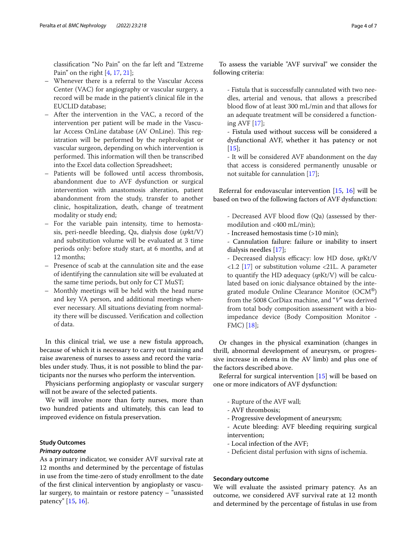classifcation "No Pain" on the far left and "Extreme Pain" on the right [\[4](#page-5-3), [17](#page-6-4), [21\]](#page-6-5);

- Whenever there is a referral to the Vascular Access Center (VAC) for angiography or vascular surgery, a record will be made in the patient's clinical fle in the EUCLID database;
- After the intervention in the VAC, a record of the intervention per patient will be made in the Vascular Access OnLine database (AV OnLine). This registration will be performed by the nephrologist or vascular surgeon, depending on which intervention is performed. This information will then be transcribed into the Excel data collection Spreadsheet;
- Patients will be followed until access thrombosis, abandonment due to AVF dysfunction or surgical intervention with anastomosis alteration, patient abandonment from the study, transfer to another clinic, hospitalization, death, change of treatment modality or study end;
- For the variable pain intensity, time to hemostasis, peri-needle bleeding, Qa, dialysis dose (*sp*kt/V) and substitution volume will be evaluated at 3 time periods only: before study start, at 6 months, and at 12 months;
- Presence of scab at the cannulation site and the ease of identifying the cannulation site will be evaluated at the same time periods, but only for CT MuST;
- Monthly meetings will be held with the head nurse and key VA person, and additional meetings whenever necessary. All situations deviating from normality there will be discussed. Verifcation and collection of data.

In this clinical trial, we use a new fstula approach, because of which it is necessary to carry out training and raise awareness of nurses to assess and record the variables under study. Thus, it is not possible to blind the participants nor the nurses who perform the intervention.

Physicians performing angioplasty or vascular surgery will not be aware of the selected patients.

We will involve more than forty nurses, more than two hundred patients and ultimately, this can lead to improved evidence on fstula preservation.

# **Study Outcomes**

#### *Primary outcome*

As a primary indicator, we consider AVF survival rate at 12 months and determined by the percentage of fstulas in use from the time-zero of study enrollment to the date of the frst clinical intervention by angioplasty or vascular surgery, to maintain or restore patency – "unassisted patency" [\[15](#page-6-6), [16\]](#page-6-7).

To assess the variable "AVF survival" we consider the following criteria:

- Fistula that is successfully cannulated with two needles, arterial and venous, that allows a prescribed blood flow of at least 300 mL/min and that allows for an adequate treatment will be considered a functioning AVF [\[17\]](#page-6-4);
- Fistula used without success will be considered a dysfunctional AVF, whether it has patency or not  $[15]$  $[15]$ ;

- It will be considered AVF abandonment on the day that access is considered permanently unusable or not suitable for cannulation [[17\]](#page-6-4);

Referral for endovascular intervention [[15](#page-6-6), [16\]](#page-6-7) will be based on two of the following factors of AVF dysfunction:

- Decreased AVF blood flow (Qa) (assessed by thermodilution and <400 mL/min);
- Increased hemostasis time (>10 min);

- Cannulation failure: failure or inability to insert dialysis needles [\[17\]](#page-6-4);

- Decreased dialysis efficacy: low HD dose, spKt/V  $\langle 1.2 \, [17]$  $\langle 1.2 \, [17]$  or substitution volume  $\langle 21L$ . A parameter to quantify the HD adequacy (*sp*Kt/V) will be calculated based on ionic dialysance obtained by the integrated module Online Clearance Monitor (OCM®) from the 5008 CorDiax machine, and "*V*" was derived from total body composition assessment with a bioimpedance device (Body Composition Monitor - FMC) [\[18](#page-6-8)];

Or changes in the physical examination (changes in thrill, abnormal development of aneurysm, or progressive increase in edema in the AV limb) and plus one of the factors described above.

Referral for surgical intervention [[15\]](#page-6-6) will be based on one or more indicators of AVF dysfunction:

- Rupture of the AVF wall;
- AVF thrombosis;
- Progressive development of aneurysm;
- Acute bleeding: AVF bleeding requiring surgical intervention;
- Local infection of the AVF;
- Defcient distal perfusion with signs of ischemia.

# **Secondary outcome**

We will evaluate the assisted primary patency. As an outcome, we considered AVF survival rate at 12 month and determined by the percentage of fstulas in use from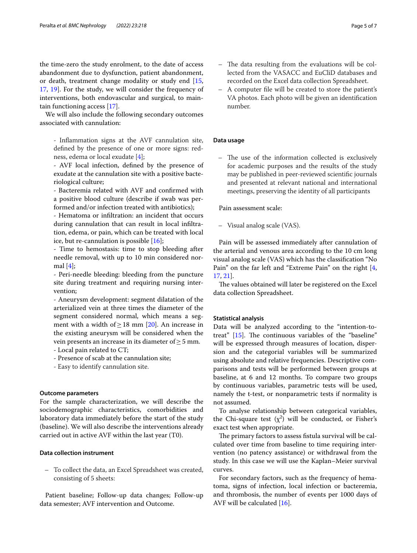the time-zero the study enrolment, to the date of access abandonment due to dysfunction, patient abandonment, or death, treatment change modality or study end [\[15](#page-6-6), [17,](#page-6-4) [19\]](#page-6-9). For the study, we will consider the frequency of interventions, both endovascular and surgical, to maintain functioning access [[17](#page-6-4)].

We will also include the following secondary outcomes associated with cannulation:

- Infammation signs at the AVF cannulation site, defned by the presence of one or more signs: redness, edema or local exudate [[4](#page-5-3)];

- AVF local infection, defned by the presence of exudate at the cannulation site with a positive bacteriological culture;

- Bacteremia related with AVF and confrmed with a positive blood culture (describe if swab was performed and/or infection treated with antibiotics);

- Hematoma or infltration: an incident that occurs during cannulation that can result in local infltration, edema, or pain, which can be treated with local ice, but re-cannulation is possible [[16](#page-6-7)];

- Time to hemostasis: time to stop bleeding after needle removal, with up to 10 min considered normal  $[4]$  $[4]$ ;

- Peri-needle bleeding: bleeding from the puncture site during treatment and requiring nursing intervention;

- Aneurysm development: segment dilatation of the arterialized vein at three times the diameter of the segment considered normal, which means a segment with a width of  $\geq$  18 mm [\[20](#page-6-10)]. An increase in the existing aneurysm will be considered when the vein presents an increase in its diameter of  $\geq$  5 mm.

- Local pain related to CT;

- Presence of scab at the cannulation site;
- Easy to identify cannulation site.

#### **Outcome parameters**

For the sample characterization, we will describe the sociodemographic characteristics, comorbidities and laboratory data immediately before the start of the study (baseline). We will also describe the interventions already carried out in active AVF within the last year (T0).

#### **Data collection instrument**

– To collect the data, an Excel Spreadsheet was created, consisting of 5 sheets:

Patient baseline; Follow-up data changes; Follow-up data semester; AVF intervention and Outcome.

- The data resulting from the evaluations will be collected from the VASACC and EuCliD databases and recorded on the Excel data collection Spreadsheet.
- A computer fle will be created to store the patient's VA photos. Each photo will be given an identifcation number.

## **Data usage**

– The use of the information collected is exclusively for academic purposes and the results of the study may be published in peer-reviewed scientifc journals and presented at relevant national and international meetings, preserving the identity of all participants

Pain assessment scale:

– Visual analog scale (VAS).

Pain will be assessed immediately after cannulation of the arterial and venous area according to the 10 cm long visual analog scale (VAS) which has the classifcation "No Pain" on the far left and "Extreme Pain" on the right [\[4](#page-5-3), [17,](#page-6-4) [21\]](#page-6-5).

The values obtained will later be registered on the Excel data collection Spreadsheet.

#### **Statistical analysis**

Data will be analyzed according to the "intention-totreat"  $[15]$  $[15]$  $[15]$ . The continuous variables of the "baseline" will be expressed through measures of location, dispersion and the categorial variables will be summarized using absolute and relative frequencies. Descriptive comparisons and tests will be performed between groups at baseline, at 6 and 12 months. To compare two groups by continuous variables, parametric tests will be used, namely the t-test, or nonparametric tests if normality is not assumed.

To analyse relationship between categorical variables, the Chi-square test  $(\chi^2)$  will be conducted, or Fisher's exact test when appropriate.

The primary factors to assess fistula survival will be calculated over time from baseline to time requiring intervention (no patency assistance) or withdrawal from the study. In this case we will use the Kaplan–Meier survival curves.

For secondary factors, such as the frequency of hematoma, signs of infection, local infection or bacteremia, and thrombosis, the number of events per 1000 days of AVF will be calculated [\[16](#page-6-7)].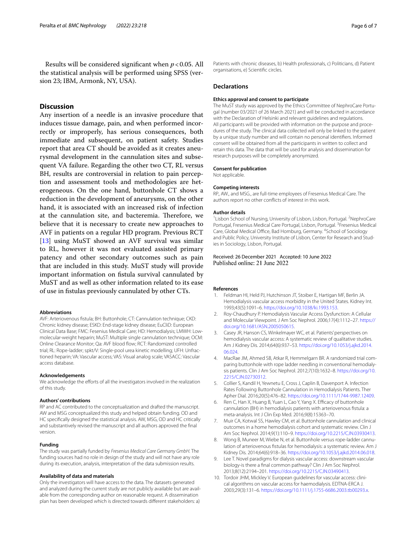Results will be considered signifcant when *p*<0.05. All the statistical analysis will be performed using SPSS (version 23; IBM, Armonk, NY, USA).

# **Discussion**

Any insertion of a needle is an invasive procedure that induces tissue damage, pain, and when performed incorrectly or improperly, has serious consequences, both immediate and subsequent, on patient safety. Studies report that area CT should be avoided as it creates aneurysmal development in the cannulation sites and subsequent VA failure. Regarding the other two CT, RL versus BH, results are controversial in relation to pain perception and assessment tools and methodologies are heterogeneous. On the one hand, buttonhole CT shows a reduction in the development of aneurysms, on the other hand, it is associated with an increased risk of infection at the cannulation site, and bacteremia. Therefore, we believe that it is necessary to create new approaches to AVF in patients on a regular HD program. Previous RCT [[13\]](#page-6-2) using MuST showed an AVF survival was similar to RL, however it was not evaluated assisted primary patency and other secondary outcomes such as pain that are included in this study. MuST study will provide important information on fstula survival cannulated by MuST and as well as other information related to its ease of use in fstulas previously cannulated by other CTs.

#### **Abbreviations**

AVF: Arteriovenous fstula; BH: Buttonhole; CT: Cannulation technique; CKD: Chronic kidney disease; ESKD: End-stage kidney disease; EuCliD: European Clinical Data Base; FMC: Fesenius Medical Care; HD: Hemodialysis; LMWH: Lowmolecular-weight heparin; MuST: Multiple single cannulation technique; OCM: Online Clearance Monitor; Qa: AVF blood flow; RCT: Randomized controlled trial; RL: Rope-ladder; spkt/V: Single-pool urea kinetic modelling; UFH: Unfractioned heparin; VA: Vascular access; VAS: Visual analog scale; VASACC: Vascular access database.

#### **Acknowledgements**

We acknowledge the efforts of all the investigators involved in the realization of this study.

#### **Authors' contributions**

RP and AC contributed to the conceptualization and drafted the manuscript. AW and MSG conceptualized this study and helped obtain funding. OD and HC specifcally designed the statistical analysis. AW, MSG, OD and HC critically and substantively revised the manuscript and all authors approved the fnal version.

#### **Funding**

The study was partially funded by *Fresenius Medical Care Germany GmbH.* The funding sources had no role in design of the study and will not have any role during its execution, analysis, interpretation of the data submission results.

#### **Availability of data and materials**

Only the investigators will have access to the data. The datasets generated and analyzed during the current study are not publicly available but are available from the corresponding author on reasonable request. A dissemination plan has been developed which is directed towards diferent stakeholders: a)

Patients with chronic diseases, b) Health professionals, c) Politicians, d) Patient organisations, e) Scientifc circles.

#### **Declarations**

#### **Ethics approval and consent to participate**

The MuST study was approved by the Ethics Committee of NephroCare Portugal (number 03/2021 of 26 March 2021) and will be conducted in accordance with the Declaration of Helsinki and relevant quidelines and regulations. All participants will be provided with information on the purpose and procedures of the study. The clinical data collected will only be linked to the patient by a unique study number and will contain no personal identifers. Informed consent will be obtained from all the participants in written to collect and retain this data. The data that will be used for analysis and dissemination for research purposes will be completely anonymized.

### **Consent for publication**

Not applicable.

#### **Competing interests**

RP., AW., and MSG., are full-time employees of Fresenius Medical Care. The authors report no other conficts of interest in this work.

#### **Author details**

<sup>1</sup> Lisbon School of Nursing, University of Lisbon, Lisbon, Portugal. <sup>2</sup> NephroCare Portugal, Fresenius Medical Care Portugal, Lisbon, Portugal. <sup>3</sup> Fresenius Medical Care, Global Medical Office, Bad Homburg, Germany. <sup>4</sup>School of Sociology and Public Policy, University Institute of Lisbon, Center for Research and Studies in Sociology, Lisbon, Portugal.

Received: 26 December 2021 Accepted: 10 June 2022 Published online: 21 June 2022

#### **References**

- <span id="page-5-0"></span>1. Feldman HI, Held PJ, Hutchinson JT, Stoiber E, Hartigan MF, Berlin JA. Hemodialysis vascular access morbidity in the United States. Kidney Int. 1993;43(5):1091–6. [https://doi.org/10.1038/ki.1993.153.](https://doi.org/10.1038/ki.1993.153)
- <span id="page-5-1"></span>2. Roy-Chaudhury P. Hemodialysis Vascular Access Dysfunction: A Cellular and Molecular Viewpoint. J Am Soc Nephrol. 2006;17(4):1112–27. [https://](https://doi.org/10.1681/ASN.2005050615) [doi.org/10.1681/ASN.2005050615.](https://doi.org/10.1681/ASN.2005050615)
- <span id="page-5-2"></span>3. Casey JR, Hanson CS, Winkelmayer WC, et al. Patients' perspectives on hemodialysis vascular access: A systematic review of qualitative studies. Am J Kidney Dis. 2014;64(6):937–53. [https://doi.org/10.1053/j.ajkd.2014.](https://doi.org/10.1053/j.ajkd.2014.06.024) [06.024](https://doi.org/10.1053/j.ajkd.2014.06.024).
- <span id="page-5-3"></span>4. MacRae JM, Ahmed SB, Atkar R, Hemmelgarn BR. A randomized trial comparing buttonhole with rope ladder needling in conventional hemodialysis patients. Clin J Am Soc Nephrol. 2012;7(10):1632–8. [https://doi.org/10.](https://doi.org/10.2215/CJN.02730312) [2215/CJN.02730312](https://doi.org/10.2215/CJN.02730312).
- <span id="page-5-4"></span>5. Collier S, Kandil H, Yewnetu E, Cross J, Caplin B, Davenport A. Infection Rates Following Buttonhole Cannulation in Hemodialysis Patients. Ther Apher Dial. 2016;20(5):476–82.<https://doi.org/10.1111/1744-9987.12409>.
- <span id="page-5-5"></span>6. Ren C, Han X, Huang B, Yuan L, Cao Y, Yang X. Efficacy of buttonhole cannulation (BH) in hemodialysis patients with arteriovenous fstula: a meta-analysis. Int J Clin Exp Med. 2016;9(8):15363–70.
- 7. Muir CA, Kotwal SS, Hawley CM, et al. Buttonhole cannulation and clinical outcomes in a home hemodialysis cohort and systematic review. Clin J Am Soc Nephrol. 2014;9(1):110–9. [https://doi.org/10.2215/CJN.03930413.](https://doi.org/10.2215/CJN.03930413)
- <span id="page-5-6"></span>8. Wong B, Muneer M, Wiebe N, et al. Buttonhole versus rope-ladder cannulation of arteriovenous fistulas for hemodialysis: a systematic review. Am J Kidney Dis. 2014;64(6):918–36. [https://doi.org/10.1053/j.ajkd.2014.06.018.](https://doi.org/10.1053/j.ajkd.2014.06.018)
- <span id="page-5-7"></span>9. Lee T. Novel paradigms for dialysis vascular access: downstream vascular biology-is there a fnal common pathway? Clin J Am Soc Nephrol. 2013;8(12):2194–201.<https://doi.org/10.2215/CJN.03490413>.
- <span id="page-5-8"></span>10. Tordoir JHM, Mickley V. European guidelines for vascular access: clinical algorithms on vascular access for haemodialysis. EDTNA-ERCA J. 2003;29(3):131–6. [https://doi.org/10.1111/j.1755-6686.2003.tb00293.x.](https://doi.org/10.1111/j.1755-6686.2003.tb00293.x)